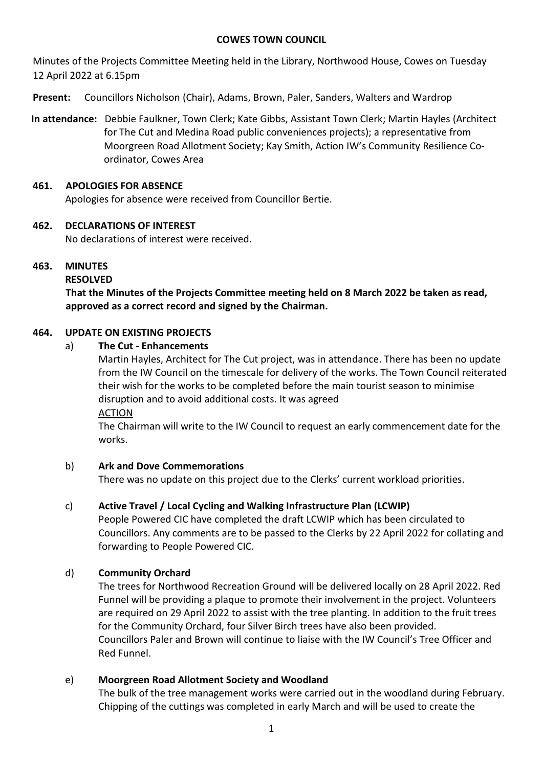### **COWES TOWN COUNCIL**

Minutes of the Projects Committee Meeting held in the Library, Northwood House, Cowes on Tuesday 12 April 2022 at 6.15pm

**Present:** Councillors Nicholson (Chair), Adams, Brown, Paler, Sanders, Walters and Wardrop

**In attendance:** Debbie Faulkner, Town Clerk; Kate Gibbs, Assistant Town Clerk; Martin Hayles (Architect for The Cut and Medina Road public conveniences projects); a representative from Moorgreen Road Allotment Society; Kay Smith, Action IW's Community Resilience Coordinator, Cowes Area

## **461. APOLOGIES FOR ABSENCE**

Apologies for absence were received from Councillor Bertie.

## **462. DECLARATIONS OF INTEREST**

No declarations of interest were received.

## **463. MINUTES**

### **RESOLVED**

**That the Minutes of the Projects Committee meeting held on 8 March 2022 be taken as read, approved as a correct record and signed by the Chairman.**

## **464. UPDATE ON EXISTING PROJECTS**

### a) **The Cut - Enhancements**

Martin Hayles, Architect for The Cut project, was in attendance. There has been no update from the IW Council on the timescale for delivery of the works. The Town Council reiterated their wish for the works to be completed before the main tourist season to minimise disruption and to avoid additional costs. It was agreed ACTION

The Chairman will write to the IW Council to request an early commencement date for the works.

### b) **Ark and Dove Commemorations**

There was no update on this project due to the Clerks' current workload priorities.

# c) **Active Travel / Local Cycling and Walking Infrastructure Plan (LCWIP)**

People Powered CIC have completed the draft LCWIP which has been circulated to Councillors. Any comments are to be passed to the Clerks by 22 April 2022 for collating and forwarding to People Powered CIC.

# d) **Community Orchard**

The trees for Northwood Recreation Ground will be delivered locally on 28 April 2022. Red Funnel will be providing a plaque to promote their involvement in the project. Volunteers are required on 29 April 2022 to assist with the tree planting. In addition to the fruit trees for the Community Orchard, four Silver Birch trees have also been provided. Councillors Paler and Brown will continue to liaise with the IW Council's Tree Officer and Red Funnel.

# e) **Moorgreen Road Allotment Society and Woodland**

The bulk of the tree management works were carried out in the woodland during February. Chipping of the cuttings was completed in early March and will be used to create the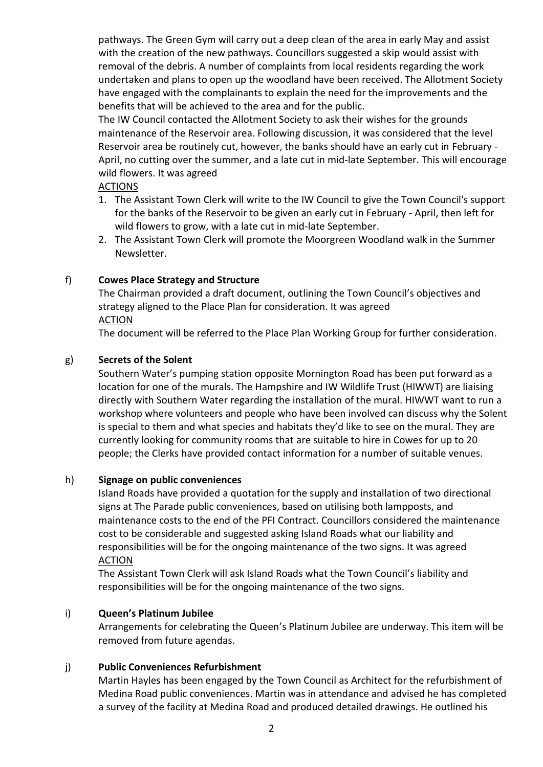pathways. The Green Gym will carry out a deep clean of the area in early May and assist with the creation of the new pathways. Councillors suggested a skip would assist with removal of the debris. A number of complaints from local residents regarding the work undertaken and plans to open up the woodland have been received. The Allotment Society have engaged with the complainants to explain the need for the improvements and the benefits that will be achieved to the area and for the public.

The IW Council contacted the Allotment Society to ask their wishes for the grounds maintenance of the Reservoir area. Following discussion, it was considered that the level Reservoir area be routinely cut, however, the banks should have an early cut in February - April, no cutting over the summer, and a late cut in mid-late September. This will encourage wild flowers. It was agreed

## ACTIONS

- 1. The Assistant Town Clerk will write to the IW Council to give the Town Council's support for the banks of the Reservoir to be given an early cut in February - April, then left for wild flowers to grow, with a late cut in mid-late September.
- 2. The Assistant Town Clerk will promote the Moorgreen Woodland walk in the Summer Newsletter.

# f) **Cowes Place Strategy and Structure**

The Chairman provided a draft document, outlining the Town Council's objectives and strategy aligned to the Place Plan for consideration. It was agreed **ACTION** 

The document will be referred to the Place Plan Working Group for further consideration.

# g) **Secrets of the Solent**

Southern Water's pumping station opposite Mornington Road has been put forward as a location for one of the murals. The Hampshire and IW Wildlife Trust (HIWWT) are liaising directly with Southern Water regarding the installation of the mural. HIWWT want to run a workshop where volunteers and people who have been involved can discuss why the Solent is special to them and what species and habitats they'd like to see on the mural. They are currently looking for community rooms that are suitable to hire in Cowes for up to 20 people; the Clerks have provided contact information for a number of suitable venues.

# h) **Signage on public conveniences**

Island Roads have provided a quotation for the supply and installation of two directional signs at The Parade public conveniences, based on utilising both lampposts, and maintenance costs to the end of the PFI Contract. Councillors considered the maintenance cost to be considerable and suggested asking Island Roads what our liability and responsibilities will be for the ongoing maintenance of the two signs. It was agreed ACTION

The Assistant Town Clerk will ask Island Roads what the Town Council's liability and responsibilities will be for the ongoing maintenance of the two signs.

### i) **Queen's Platinum Jubilee**

Arrangements for celebrating the Queen's Platinum Jubilee are underway. This item will be removed from future agendas.

### j) **Public Conveniences Refurbishment**

Martin Hayles has been engaged by the Town Council as Architect for the refurbishment of Medina Road public conveniences. Martin was in attendance and advised he has completed a survey of the facility at Medina Road and produced detailed drawings. He outlined his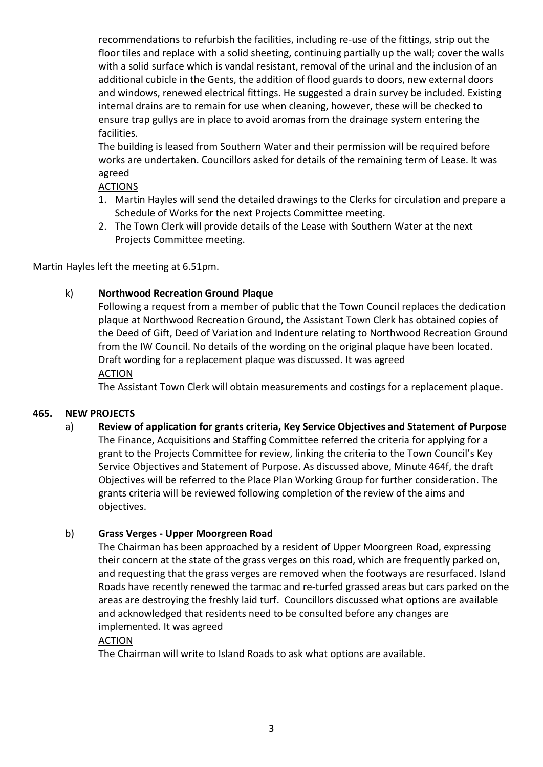recommendations to refurbish the facilities, including re-use of the fittings, strip out the floor tiles and replace with a solid sheeting, continuing partially up the wall; cover the walls with a solid surface which is vandal resistant, removal of the urinal and the inclusion of an additional cubicle in the Gents, the addition of flood guards to doors, new external doors and windows, renewed electrical fittings. He suggested a drain survey be included. Existing internal drains are to remain for use when cleaning, however, these will be checked to ensure trap gullys are in place to avoid aromas from the drainage system entering the facilities.

The building is leased from Southern Water and their permission will be required before works are undertaken. Councillors asked for details of the remaining term of Lease. It was agreed

### ACTIONS

- 1. Martin Hayles will send the detailed drawings to the Clerks for circulation and prepare a Schedule of Works for the next Projects Committee meeting.
- 2. The Town Clerk will provide details of the Lease with Southern Water at the next Projects Committee meeting.

Martin Hayles left the meeting at 6.51pm.

### k) **Northwood Recreation Ground Plaque**

Following a request from a member of public that the Town Council replaces the dedication plaque at Northwood Recreation Ground, the Assistant Town Clerk has obtained copies of the Deed of Gift, Deed of Variation and Indenture relating to Northwood Recreation Ground from the IW Council. No details of the wording on the original plaque have been located. Draft wording for a replacement plaque was discussed. It was agreed **ACTION** 

The Assistant Town Clerk will obtain measurements and costings for a replacement plaque.

### **465. NEW PROJECTS**

a) **Review of application for grants criteria, Key Service Objectives and Statement of Purpose** The Finance, Acquisitions and Staffing Committee referred the criteria for applying for a grant to the Projects Committee for review, linking the criteria to the Town Council's Key Service Objectives and Statement of Purpose. As discussed above, Minute 464f, the draft Objectives will be referred to the Place Plan Working Group for further consideration. The grants criteria will be reviewed following completion of the review of the aims and objectives.

## b) **Grass Verges - Upper Moorgreen Road**

The Chairman has been approached by a resident of Upper Moorgreen Road, expressing their concern at the state of the grass verges on this road, which are frequently parked on, and requesting that the grass verges are removed when the footways are resurfaced. Island Roads have recently renewed the tarmac and re-turfed grassed areas but cars parked on the areas are destroying the freshly laid turf. Councillors discussed what options are available and acknowledged that residents need to be consulted before any changes are implemented. It was agreed

### ACTION

The Chairman will write to Island Roads to ask what options are available.